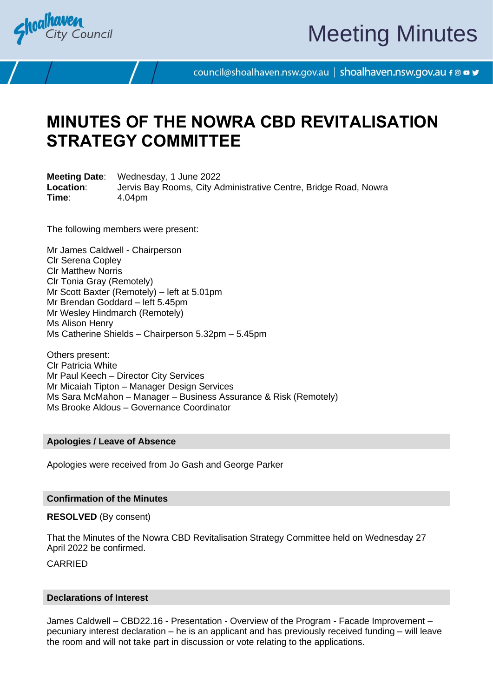

# Meeting Minutes

council@shoalhaven.nsw.gov.au | shoalhaven.nsw.gov.au f @ ■ y

## **MINUTES OF THE NOWRA CBD REVITALISATION STRATEGY COMMITTEE**

**Meeting Date**: Wednesday, 1 June 2022 **Location**: Jervis Bay Rooms, City Administrative Centre, Bridge Road, Nowra **Time**: 4.04pm

The following members were present:

Mr James Caldwell - Chairperson Clr Serena Copley Clr Matthew Norris Clr Tonia Gray (Remotely) Mr Scott Baxter (Remotely) – left at 5.01pm Mr Brendan Goddard – left 5.45pm Mr Wesley Hindmarch (Remotely) Ms Alison Henry Ms Catherine Shields – Chairperson 5.32pm – 5.45pm

Others present: Clr Patricia White Mr Paul Keech – Director City Services Mr Micaiah Tipton – Manager Design Services Ms Sara McMahon – Manager – Business Assurance & Risk (Remotely) Ms Brooke Aldous – Governance Coordinator

### **Apologies / Leave of Absence**

Apologies were received from Jo Gash and George Parker

#### **Confirmation of the Minutes**

**RESOLVED** (By consent)

That the Minutes of the Nowra CBD Revitalisation Strategy Committee held on Wednesday 27 April 2022 be confirmed.

CARRIED

## **Declarations of Interest**

James Caldwell – CBD22.16 - Presentation - Overview of the Program - Facade Improvement – pecuniary interest declaration – he is an applicant and has previously received funding – will leave the room and will not take part in discussion or vote relating to the applications.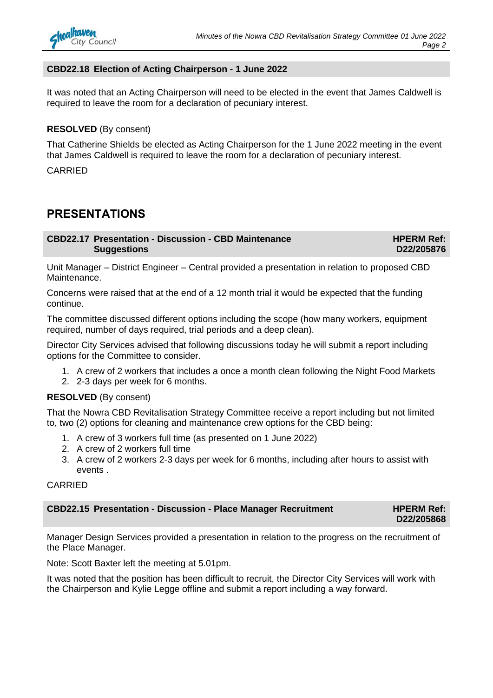## **CBD22.18 Election of Acting Chairperson - 1 June 2022**

It was noted that an Acting Chairperson will need to be elected in the event that James Caldwell is required to leave the room for a declaration of pecuniary interest.

## **RESOLVED** (By consent)

That Catherine Shields be elected as Acting Chairperson for the 1 June 2022 meeting in the event that James Caldwell is required to leave the room for a declaration of pecuniary interest.

CARRIED

## **PRESENTATIONS**

**CBD22.17 Presentation - Discussion - CBD Maintenance Suggestions**

**HPERM Ref: D22/205876**

Unit Manager – District Engineer – Central provided a presentation in relation to proposed CBD Maintenance.

Concerns were raised that at the end of a 12 month trial it would be expected that the funding continue.

The committee discussed different options including the scope (how many workers, equipment required, number of days required, trial periods and a deep clean).

Director City Services advised that following discussions today he will submit a report including options for the Committee to consider.

- 1. A crew of 2 workers that includes a once a month clean following the Night Food Markets
- 2. 2-3 days per week for 6 months.

## **RESOLVED** (By consent)

That the Nowra CBD Revitalisation Strategy Committee receive a report including but not limited to, two (2) options for cleaning and maintenance crew options for the CBD being:

- 1. A crew of 3 workers full time (as presented on 1 June 2022)
- 2. A crew of 2 workers full time
- 3. A crew of 2 workers 2-3 days per week for 6 months, including after hours to assist with events .

## CARRIED

| <b>CBD22.15 Presentation - Discussion - Place Manager Recruitment</b> | <b>HPERM Ref:</b> |
|-----------------------------------------------------------------------|-------------------|
|                                                                       | D22/205868        |

Manager Design Services provided a presentation in relation to the progress on the recruitment of the Place Manager.

Note: Scott Baxter left the meeting at 5.01pm.

It was noted that the position has been difficult to recruit, the Director City Services will work with the Chairperson and Kylie Legge offline and submit a report including a way forward.